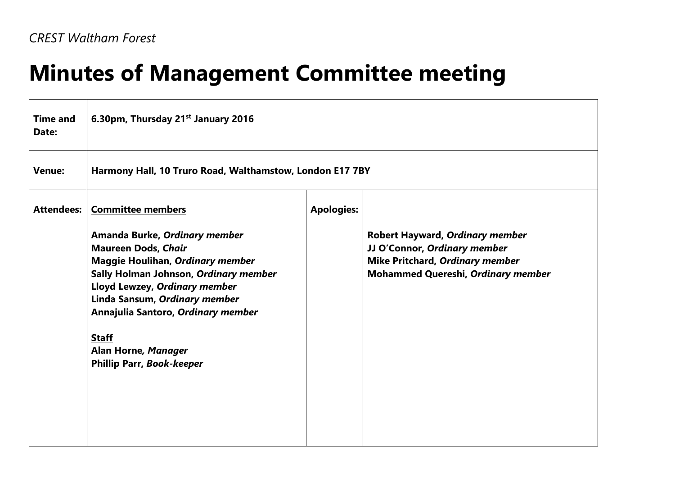## **Minutes of Management Committee meeting**

| <b>Time and</b><br>Date: | 6.30pm, Thursday 21 <sup>st</sup> January 2016                                                                                                                                                                                                                                                                                                          |                   |                                                                                                                                                               |  |
|--------------------------|---------------------------------------------------------------------------------------------------------------------------------------------------------------------------------------------------------------------------------------------------------------------------------------------------------------------------------------------------------|-------------------|---------------------------------------------------------------------------------------------------------------------------------------------------------------|--|
| <b>Venue:</b>            | Harmony Hall, 10 Truro Road, Walthamstow, London E17 7BY                                                                                                                                                                                                                                                                                                |                   |                                                                                                                                                               |  |
| <b>Attendees:</b>        | <b>Committee members</b><br>Amanda Burke, Ordinary member<br><b>Maureen Dods, Chair</b><br>Maggie Houlihan, Ordinary member<br>Sally Holman Johnson, Ordinary member<br>Lloyd Lewzey, Ordinary member<br>Linda Sansum, Ordinary member<br>Annajulia Santoro, Ordinary member<br><b>Staff</b><br>Alan Horne, Manager<br><b>Phillip Parr, Book-keeper</b> | <b>Apologies:</b> | <b>Robert Hayward, Ordinary member</b><br>JJ O'Connor, Ordinary member<br><b>Mike Pritchard, Ordinary member</b><br><b>Mohammed Quereshi, Ordinary member</b> |  |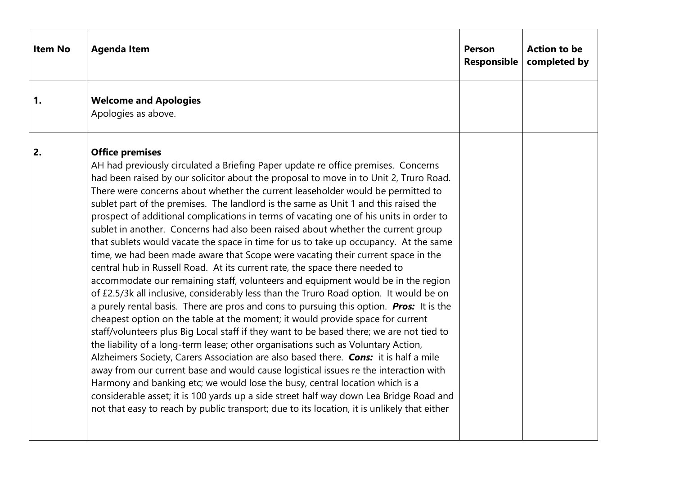| <b>Item No</b> | <b>Agenda Item</b>                                                                                                                                                                                                                                                                                                                                                                                                                                                                                                                                                                                                                                                                                                                                                                                                                                                                                                                                                                                                                                                                                                                                                                                                                                                                                                                                                                                                                                                                                                                                                                                                                                                                                                                                                                                                           | <b>Person</b><br>Responsible | <b>Action to be</b><br>completed by |
|----------------|------------------------------------------------------------------------------------------------------------------------------------------------------------------------------------------------------------------------------------------------------------------------------------------------------------------------------------------------------------------------------------------------------------------------------------------------------------------------------------------------------------------------------------------------------------------------------------------------------------------------------------------------------------------------------------------------------------------------------------------------------------------------------------------------------------------------------------------------------------------------------------------------------------------------------------------------------------------------------------------------------------------------------------------------------------------------------------------------------------------------------------------------------------------------------------------------------------------------------------------------------------------------------------------------------------------------------------------------------------------------------------------------------------------------------------------------------------------------------------------------------------------------------------------------------------------------------------------------------------------------------------------------------------------------------------------------------------------------------------------------------------------------------------------------------------------------------|------------------------------|-------------------------------------|
| 1.             | <b>Welcome and Apologies</b><br>Apologies as above.                                                                                                                                                                                                                                                                                                                                                                                                                                                                                                                                                                                                                                                                                                                                                                                                                                                                                                                                                                                                                                                                                                                                                                                                                                                                                                                                                                                                                                                                                                                                                                                                                                                                                                                                                                          |                              |                                     |
| 2.             | <b>Office premises</b><br>AH had previously circulated a Briefing Paper update re office premises. Concerns<br>had been raised by our solicitor about the proposal to move in to Unit 2, Truro Road.<br>There were concerns about whether the current leaseholder would be permitted to<br>sublet part of the premises. The landlord is the same as Unit 1 and this raised the<br>prospect of additional complications in terms of vacating one of his units in order to<br>sublet in another. Concerns had also been raised about whether the current group<br>that sublets would vacate the space in time for us to take up occupancy. At the same<br>time, we had been made aware that Scope were vacating their current space in the<br>central hub in Russell Road. At its current rate, the space there needed to<br>accommodate our remaining staff, volunteers and equipment would be in the region<br>of £2.5/3k all inclusive, considerably less than the Truro Road option. It would be on<br>a purely rental basis. There are pros and cons to pursuing this option. Pros: It is the<br>cheapest option on the table at the moment; it would provide space for current<br>staff/volunteers plus Big Local staff if they want to be based there; we are not tied to<br>the liability of a long-term lease; other organisations such as Voluntary Action,<br>Alzheimers Society, Carers Association are also based there. Cons: it is half a mile<br>away from our current base and would cause logistical issues re the interaction with<br>Harmony and banking etc; we would lose the busy, central location which is a<br>considerable asset; it is 100 yards up a side street half way down Lea Bridge Road and<br>not that easy to reach by public transport; due to its location, it is unlikely that either |                              |                                     |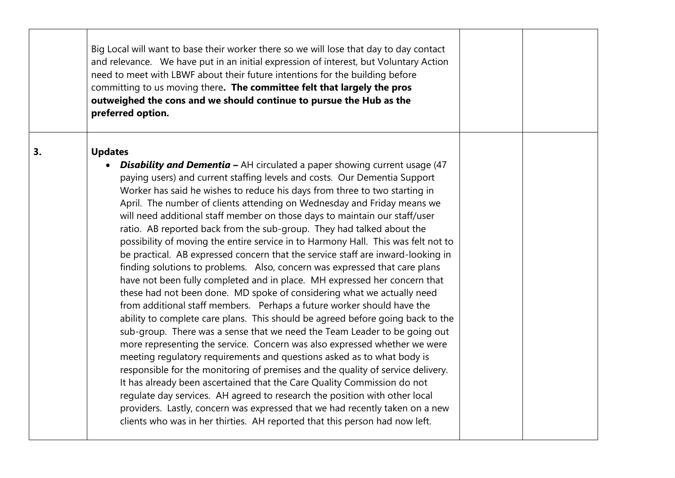|    | Big Local will want to base their worker there so we will lose that day to day contact<br>and relevance. We have put in an initial expression of interest, but Voluntary Action<br>need to meet with LBWF about their future intentions for the building before<br>committing to us moving there. The committee felt that largely the pros<br>outweighed the cons and we should continue to pursue the Hub as the<br>preferred option.                                                                                                                                                                                                                                                                                                                                                                                                                                                                                                                                                                                                                                                                                                                                                                                                                                                                                                                                                                                                                                                                                                                                                                                                                                                                                  |  |
|----|-------------------------------------------------------------------------------------------------------------------------------------------------------------------------------------------------------------------------------------------------------------------------------------------------------------------------------------------------------------------------------------------------------------------------------------------------------------------------------------------------------------------------------------------------------------------------------------------------------------------------------------------------------------------------------------------------------------------------------------------------------------------------------------------------------------------------------------------------------------------------------------------------------------------------------------------------------------------------------------------------------------------------------------------------------------------------------------------------------------------------------------------------------------------------------------------------------------------------------------------------------------------------------------------------------------------------------------------------------------------------------------------------------------------------------------------------------------------------------------------------------------------------------------------------------------------------------------------------------------------------------------------------------------------------------------------------------------------------|--|
| 3. | <b>Updates</b><br><b>Disability and Dementia - AH circulated a paper showing current usage (47</b><br>paying users) and current staffing levels and costs. Our Dementia Support<br>Worker has said he wishes to reduce his days from three to two starting in<br>April. The number of clients attending on Wednesday and Friday means we<br>will need additional staff member on those days to maintain our staff/user<br>ratio. AB reported back from the sub-group. They had talked about the<br>possibility of moving the entire service in to Harmony Hall. This was felt not to<br>be practical. AB expressed concern that the service staff are inward-looking in<br>finding solutions to problems. Also, concern was expressed that care plans<br>have not been fully completed and in place. MH expressed her concern that<br>these had not been done. MD spoke of considering what we actually need<br>from additional staff members. Perhaps a future worker should have the<br>ability to complete care plans. This should be agreed before going back to the<br>sub-group. There was a sense that we need the Team Leader to be going out<br>more representing the service. Concern was also expressed whether we were<br>meeting regulatory requirements and questions asked as to what body is<br>responsible for the monitoring of premises and the quality of service delivery.<br>It has already been ascertained that the Care Quality Commission do not<br>regulate day services. AH agreed to research the position with other local<br>providers. Lastly, concern was expressed that we had recently taken on a new<br>clients who was in her thirties. AH reported that this person had now left. |  |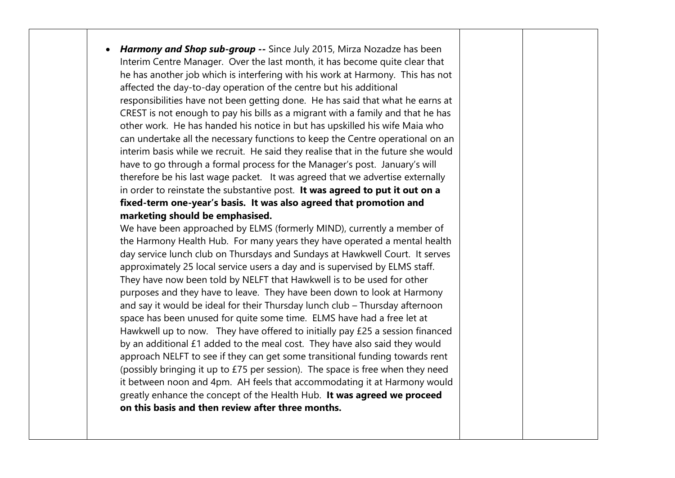*Harmony and Shop sub-group --* Since July 2015, Mirza Nozadze has been Interim Centre Manager. Over the last month, it has become quite clear that he has another job which is interfering with his work at Harmony. This has not affected the day-to-day operation of the centre but his additional responsibilities have not been getting done. He has said that what he earns at CREST is not enough to pay his bills as a migrant with a family and that he has other work. He has handed his notice in but has upskilled his wife Maia who can undertake all the necessary functions to keep the Centre operational on an interim basis while we recruit. He said they realise that in the future she would have to go through a formal process for the Manager's post. January's will therefore be his last wage packet. It was agreed that we advertise externally in order to reinstate the substantive post. **It was agreed to put it out on a fixed-term one-year's basis. It was also agreed that promotion and marketing should be emphasised.**

We have been approached by ELMS (formerly MIND), currently a member of the Harmony Health Hub. For many years they have operated a mental health day service lunch club on Thursdays and Sundays at Hawkwell Court. It serves approximately 25 local service users a day and is supervised by ELMS staff. They have now been told by NELFT that Hawkwell is to be used for other purposes and they have to leave. They have been down to look at Harmony and say it would be ideal for their Thursday lunch club – Thursday afternoon space has been unused for quite some time. ELMS have had a free let at Hawkwell up to now. They have offered to initially pay £25 a session financed by an additional £1 added to the meal cost. They have also said they would approach NELFT to see if they can get some transitional funding towards rent (possibly bringing it up to £75 per session). The space is free when they need it between noon and 4pm. AH feels that accommodating it at Harmony would greatly enhance the concept of the Health Hub. **It was agreed we proceed on this basis and then review after three months.**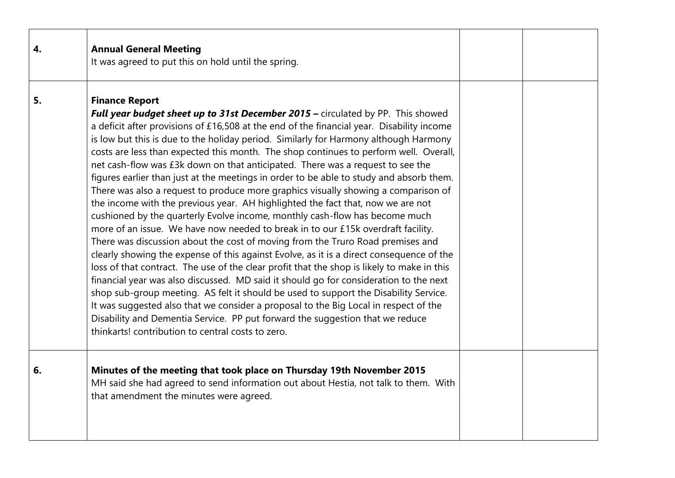| 4. | <b>Annual General Meeting</b><br>It was agreed to put this on hold until the spring.                                                                                                                                                                                                                                                                                                                                                                                                                                                                                                                                                                                                                                                                                                                                                                                                                                                                                                                                                                                                                                                                                                                                                                                                                                                                                                                                                                                                                                                                                                                              |  |
|----|-------------------------------------------------------------------------------------------------------------------------------------------------------------------------------------------------------------------------------------------------------------------------------------------------------------------------------------------------------------------------------------------------------------------------------------------------------------------------------------------------------------------------------------------------------------------------------------------------------------------------------------------------------------------------------------------------------------------------------------------------------------------------------------------------------------------------------------------------------------------------------------------------------------------------------------------------------------------------------------------------------------------------------------------------------------------------------------------------------------------------------------------------------------------------------------------------------------------------------------------------------------------------------------------------------------------------------------------------------------------------------------------------------------------------------------------------------------------------------------------------------------------------------------------------------------------------------------------------------------------|--|
| 5. | <b>Finance Report</b><br><b>Full year budget sheet up to 31st December 2015</b> – circulated by PP. This showed<br>a deficit after provisions of £16,508 at the end of the financial year. Disability income<br>is low but this is due to the holiday period. Similarly for Harmony although Harmony<br>costs are less than expected this month. The shop continues to perform well. Overall,<br>net cash-flow was £3k down on that anticipated. There was a request to see the<br>figures earlier than just at the meetings in order to be able to study and absorb them.<br>There was also a request to produce more graphics visually showing a comparison of<br>the income with the previous year. AH highlighted the fact that, now we are not<br>cushioned by the quarterly Evolve income, monthly cash-flow has become much<br>more of an issue. We have now needed to break in to our £15k overdraft facility.<br>There was discussion about the cost of moving from the Truro Road premises and<br>clearly showing the expense of this against Evolve, as it is a direct consequence of the<br>loss of that contract. The use of the clear profit that the shop is likely to make in this<br>financial year was also discussed. MD said it should go for consideration to the next<br>shop sub-group meeting. AS felt it should be used to support the Disability Service.<br>It was suggested also that we consider a proposal to the Big Local in respect of the<br>Disability and Dementia Service. PP put forward the suggestion that we reduce<br>thinkarts! contribution to central costs to zero. |  |
| 6. | Minutes of the meeting that took place on Thursday 19th November 2015<br>MH said she had agreed to send information out about Hestia, not talk to them. With<br>that amendment the minutes were agreed.                                                                                                                                                                                                                                                                                                                                                                                                                                                                                                                                                                                                                                                                                                                                                                                                                                                                                                                                                                                                                                                                                                                                                                                                                                                                                                                                                                                                           |  |